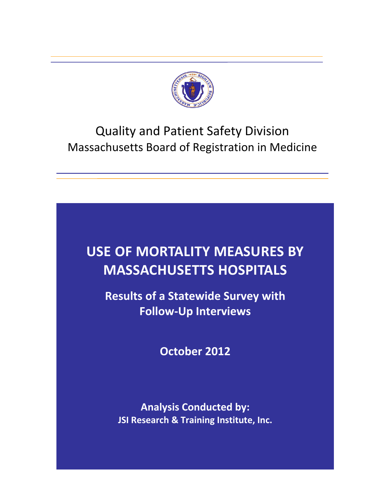

## Quality and Patient Safety Division Massachusetts Board of Registration in Medicine

# **USE OF MORTALITY MEASURES BY MASSACHUSETTS HOSPITALS**

**Results of a Statewide Survey with Follow‐Up Interviews**

**October 2012**

**Analysis Conducted by: JSI Research & Training Institute, Inc.**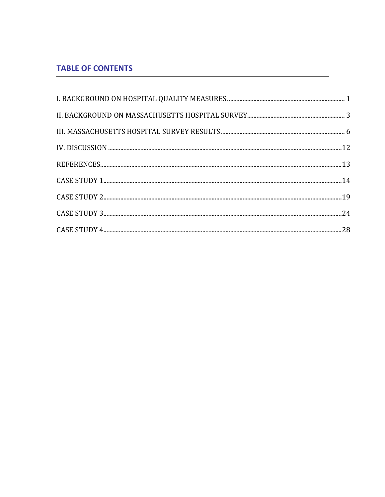### **TABLE OF CONTENTS**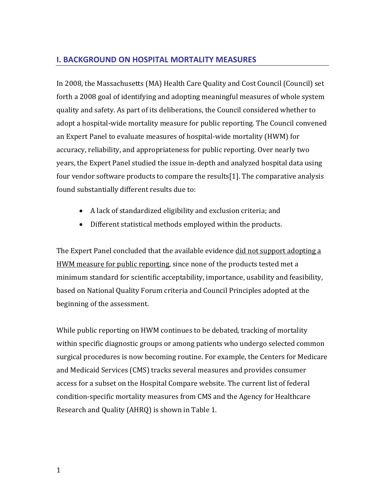#### **I. BACKGROUND ON HOSPITAL MORTALITY MEASURES**

In 2008, the Massachusetts (MA) Health Care Quality and Cost Council (Council) set forth a 2008 goal of identifying and adopting meaningful measures of whole system quality and safety. As part of its deliberations, the Council considered whether to adopt a hospital‐wide mortality measure for public reporting. The Council convened an Expert Panel to evaluate measures of hospital‐wide mortality (HWM) for accuracy, reliability, and appropriateness for public reporting. Over nearly two years, the Expert Panel studied the issue in‐depth and analyzed hospital data using four vendor software products to compare the results[[1\]](#page-14-0). The comparative analysis found substantially different results due to:

- A lack of standardized eligibility and exclusion criteria; and
- Different statistical methods employed within the products.

The Expert Panel concluded that the available evidence did not support adopting a HWM measure for public reporting, since none of the products tested met a minimum standard for scientific acceptability, importance, usability and feasibility, based on National Quality Forum criteria and Council Principles adopted at the beginning of the assessment.

<span id="page-2-0"></span>While public reporting on HWM continues to be debated, tracking of mortality within specific diagnostic groups or among patients who undergo selected common surgical procedures is now becoming routine. For example, the Centers for Medicare and Medicaid Services (CMS) tracks several measures and provides consumer access for a subset on the Hospital Compare website. The current list of federal condition‐specific mortality measures from CMS and the Agency for Healthcare Research and Quality (AHRQ) is shown in Table 1.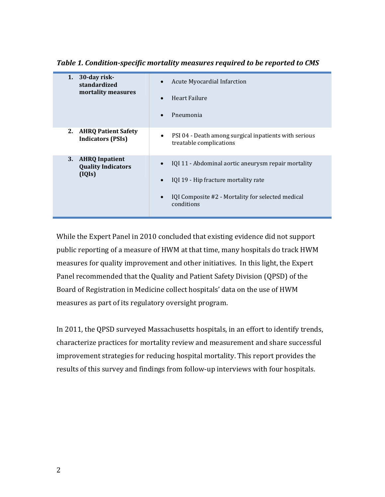| 30-day risk-<br>1.<br>standardized<br>mortality measures           | Acute Myocardial Infarction<br>Heart Failure<br>$\bullet$<br>Pneumonia<br>$\bullet$                                                                                         |
|--------------------------------------------------------------------|-----------------------------------------------------------------------------------------------------------------------------------------------------------------------------|
| <b>AHRQ Patient Safety</b><br>2.<br><b>Indicators (PSIs)</b>       | PSI 04 - Death among surgical inpatients with serious<br>treatable complications                                                                                            |
| <b>AHRQ Inpatient</b><br>3.<br><b>Quality Indicators</b><br>(IQIs) | IQI 11 - Abdominal aortic aneurysm repair mortality<br>IQI 19 - Hip fracture mortality rate<br>IQI Composite #2 - Mortality for selected medical<br>$\bullet$<br>conditions |

*Table 1. Conditionspecific mortality measures required to be reported to CMS*

While the Expert Panel in 2010 concluded that existing evidence did not support public reporting of a measure of HWM at that time, many hospitals do track HWM measures for quality improvement and other initiatives. In this light, the Expert Panel recommended that the Quality and Patient Safety Division (QPSD) of the Board of Registration in Medicine collect hospitals' data on the use of HWM measures as part of its regulatory oversight program.

In 2011, the QPSD surveyed Massachusetts hospitals, in an effort to identify trends, characterize practices for mortality review and measurement and share successful improvement strategies for reducing hospital mortality. This report provides the results of this survey and findings from follow‐up interviews with four hospitals.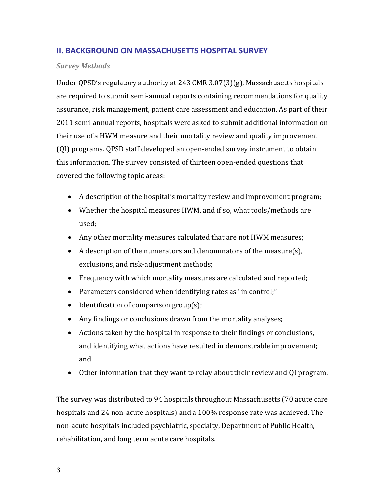#### **II. BACKGROUND ON MASSACHUSETTS HOSPITAL SURVEY**

#### *Survey Methods*

Under QPSD's regulatory authority at 243 CMR 3.07(3)(g), Massachusetts hospitals are required to submit semi‐annual reports containing recommendations for quality assurance, risk management, patient care assessment and education. As part of their 2011 semi‐annual reports, hospitals were asked to submit additional information on their use of a HWM measure and their mortality review and quality improvement (QI) programs. QPSD staff developed an open‐ended survey instrument to obtain this information. The survey consisted of thirteen open‐ended questions that covered the following topic areas:

- A description of the hospital's mortality review and improvement program;
- Whether the hospital measures HWM, and if so, what tools/methods are used;
- Any other mortality measures calculated that are not HWM measures;
- A description of the numerators and denominators of the measure(s), exclusions, and risk‐adjustment methods;
- Frequency with which mortality measures are calculated and reported;
- Parameters considered when identifying rates as "in control;"
- $\bullet$  Identification of comparison group(s);
- Any findings or conclusions drawn from the mortality analyses;
- Actions taken by the hospital in response to their findings or conclusions, and identifying what actions have resulted in demonstrable improvement; and
- Other information that they want to relay about their review and QI program.

The survey was distributed to 94 hospitals throughout Massachusetts (70 acute care hospitals and 24 non‐acute hospitals) and a 100% response rate was achieved. The non‐acute hospitals included psychiatric, specialty, Department of Public Health, rehabilitation, and long term acute care hospitals.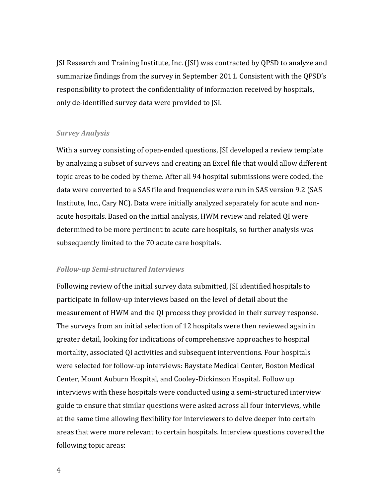JSI Research and Training Institute, Inc. (JSI) was contracted by QPSD to analyze and summarize findings from the survey in September 2011. Consistent with the QPSD's responsibility to protect the confidentiality of information received by hospitals, only de‐identified survey data were provided to JSI.

#### *Survey Analysis*

With a survey consisting of open-ended questions, JSI developed a review template by analyzing a subset of surveys and creating an Excel file that would allow different topic areas to be coded by theme. After all 94 hospital submissions were coded, the data were converted to a SAS file and frequencies were run in SAS version 9.2 (SAS Institute, Inc., Cary NC). Data were initially analyzed separately for acute and non‐ acute hospitals. Based on the initial analysis, HWM review and related QI were determined to be more pertinent to acute care hospitals, so further analysis was subsequently limited to the 70 acute care hospitals.

#### *Followup Semistructured Interviews*

Following review of the initial survey data submitted, JSI identified hospitals to participate in follow‐up interviews based on the level of detail about the measurement of HWM and the QI process they provided in their survey response. The surveys from an initial selection of 12 hospitals were then reviewed again in greater detail, looking for indications of comprehensive approaches to hospital mortality, associated QI activities and subsequent interventions. Four hospitals were selected for follow‐up interviews: Baystate Medical Center, Boston Medical Center, Mount Auburn Hospital, and Cooley‐Dickinson Hospital. Follow up interviews with these hospitals were conducted using a semi‐structured interview guide to ensure that similar questions were asked across all four interviews, while at the same time allowing flexibility for interviewers to delve deeper into certain areas that were more relevant to certain hospitals. Interview questions covered the following topic areas: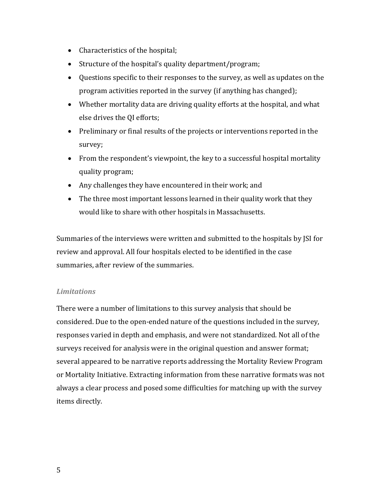- Characteristics of the hospital;
- Structure of the hospital's quality department/program;
- Questions specific to their responses to the survey, as well as updates on the program activities reported in the survey (if anything has changed);
- Whether mortality data are driving quality efforts at the hospital, and what else drives the QI efforts;
- Preliminary or final results of the projects or interventions reported in the survey;
- From the respondent's viewpoint, the key to a successful hospital mortality quality program;
- Any challenges they have encountered in their work; and
- The three most important lessons learned in their quality work that they would like to share with other hospitals in Massachusetts.

Summaries of the interviews were written and submitted to the hospitals by JSI for review and approval. All four hospitals elected to be identified in the case summaries, after review of the summaries.

#### *Limitations*

There were a number of limitations to this survey analysis that should be considered. Due to the open‐ended nature of the questions included in the survey, responses varied in depth and emphasis, and were not standardized. Not all of the surveys received for analysis were in the original question and answer format; several appeared to be narrative reports addressing the Mortality Review Program or Mortality Initiative. Extracting information from these narrative formats was not always a clear process and posed some difficulties for matching up with the survey items directly.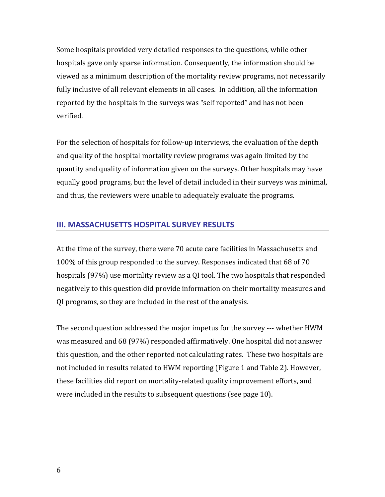Some hospitals provided very detailed responses to the questions, while other hospitals gave only sparse information. Consequently, the information should be viewed as a minimum description of the mortality review programs, not necessarily fully inclusive of all relevant elements in all cases. In addition, all the information reported by the hospitals in the surveys was "self reported" and has not been verified.

For the selection of hospitals for follow‐up interviews, the evaluation of the depth and quality of the hospital mortality review programs was again limited by the quantity and quality of information given on the surveys. Other hospitals may have equally good programs, but the level of detail included in their surveys was minimal, and thus, the reviewers were unable to adequately evaluate the programs.

#### **III. MASSACHUSETTS HOSPITAL SURVEY RESULTS**

At the time of the survey, there were 70 acute care facilities in Massachusetts and 100% of this group responded to the survey. Responses indicated that 68 of 70 hospitals (97%) use mortality review as a QI tool. The two hospitals that responded negatively to this question did provide information on their mortality measures and QI programs, so they are included in the rest of the analysis.

The second question addressed the major impetus for the survey ‐‐‐ whether HWM was measured and 68 (97%) responded affirmatively. One hospital did not answer this question, and the other reported not calculating rates. These two hospitals are not included in results related to HWM reporting (Figure 1 and Table 2). However, these facilities did report on mortality‐related quality improvement efforts, and were included in the results to subsequent questions (see page 10).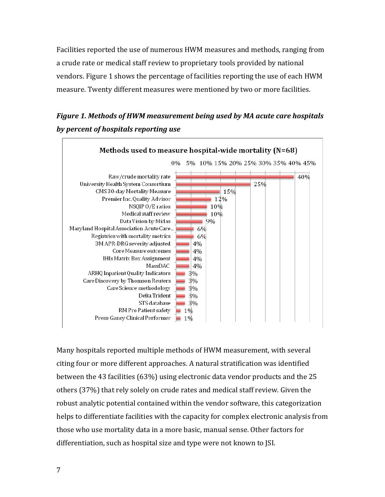Facilities reported the use of numerous HWM measures and methods, ranging from a crude rate or medical staff review to proprietary tools provided by national vendors. Figure 1 shows the percentage of facilities reporting the use of each HWM measure. Twenty different measures were mentioned by two or more facilities.

## *Figure 1. Methods of HWM measurement being used by MA acute care hospitals by percent of hospitals reporting use*



Many hospitals reported multiple methods of HWM measurement, with several citing four or more different approaches. A natural stratification was identified between the 43 facilities (63%) using electronic data vendor products and the 25 others (37%) that rely solely on crude rates and medical staff review. Given the robust analytic potential contained within the vendor software, this categorization helps to differentiate facilities with the capacity for complex electronic analysis from those who use mortality data in a more basic, manual sense. Other factors for differentiation, such as hospital size and type were not known to JSI.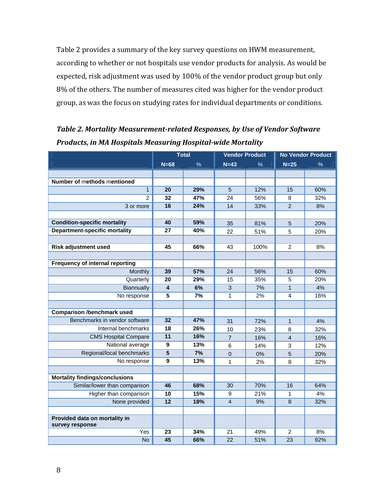Table 2 provides a summary of the key survey questions on HWM measurement, according to whether or not hospitals use vendor products for analysis. As would be expected, risk adjustment was used by 100% of the vendor product group but only 8% of the others. The number of measures cited was higher for the vendor product group, as was the focus on studying rates for individual departments or conditions.

|                                        | <b>Total</b>            |      | <b>Vendor Product</b> |      | <b>No Vendor Product</b> |      |
|----------------------------------------|-------------------------|------|-----------------------|------|--------------------------|------|
|                                        | $N=68$                  | $\%$ | $N=43$                | $\%$ | $N=25$                   | $\%$ |
|                                        |                         |      |                       |      |                          |      |
| Number of methods mentioned            |                         |      |                       |      |                          |      |
| $\mathbf{1}$                           | 20                      | 29%  | 5                     | 12%  | 15                       | 60%  |
| $\mathcal{P}$                          | 32                      | 47%  | 24                    | 56%  | 8                        | 32%  |
| 3 or more                              | 16                      | 24%  | 14                    | 33%  | 2                        | 8%   |
|                                        |                         |      |                       |      |                          |      |
| <b>Condition-specific mortality</b>    | 40                      | 59%  | 35                    | 81%  | $\overline{5}$           | 20%  |
| <b>Department-specific mortality</b>   | 27                      | 40%  | 22                    | 51%  | 5                        | 20%  |
|                                        |                         |      |                       |      |                          |      |
| <b>Risk adjustment used</b>            | 45                      | 66%  | 43                    | 100% | $\overline{2}$           | 8%   |
|                                        |                         |      |                       |      |                          |      |
| <b>Frequency of internal reporting</b> |                         |      |                       |      |                          |      |
| Monthly                                | 39                      | 57%  | 24                    | 56%  | 15                       | 60%  |
| Quarterly                              | 20                      | 29%  | 15                    | 35%  | 5                        | 20%  |
| Biannually                             | $\overline{\mathbf{4}}$ | 6%   | 3                     | 7%   | $\mathbf{1}$             | 4%   |
| No response                            | 5                       | 7%   | 1                     | 2%   | 4                        | 16%  |
|                                        |                         |      |                       |      |                          |      |
| <b>Comparison /benchmark used</b>      |                         |      |                       |      |                          |      |
| Benchmarks in vendor software          | 32                      | 47%  | 31                    | 72%  | $\mathbf{1}$             | 4%   |
| Internal benchmarks                    | $\overline{18}$         | 26%  | 10                    | 23%  | 8                        | 32%  |
| <b>CMS Hospital Compare</b>            | 11                      | 16%  | $\overline{7}$        | 16%  | 4                        | 16%  |
| National average                       | 9                       | 13%  | 6                     | 14%  | 3                        | 12%  |
| Regional/local benchmarks              | 5                       | 7%   | $\overline{0}$        | 0%   | 5                        | 20%  |
| No response                            | 9                       | 13%  | 1                     | 2%   | 8                        | 32%  |
|                                        |                         |      |                       |      |                          |      |
| <b>Mortality findings/conclusions</b>  |                         |      |                       |      |                          |      |
| Similar/lower than comparison          | 46                      | 68%  | 30                    | 70%  | 16                       | 64%  |
| Higher than comparison                 | 10                      | 15%  | 9                     | 21%  | 1                        | 4%   |
| None provided                          | $\overline{12}$         | 18%  | $\overline{4}$        | 9%   | 8                        | 32%  |
|                                        |                         |      |                       |      |                          |      |
| Provided data on mortality in          |                         |      |                       |      |                          |      |
| survey response<br>Yes                 | 23                      | 34%  | 21                    | 49%  | $\mathcal{P}$            | 8%   |
| <b>No</b>                              | 45                      | 66%  | 22                    | 51%  | 23                       | 92%  |
|                                        |                         |      |                       |      |                          |      |

*Table 2. Mortality Measurementrelated Responses, by Use of Vendor Software Products, in MA Hospitals Measuring Hospitalwide Mortality*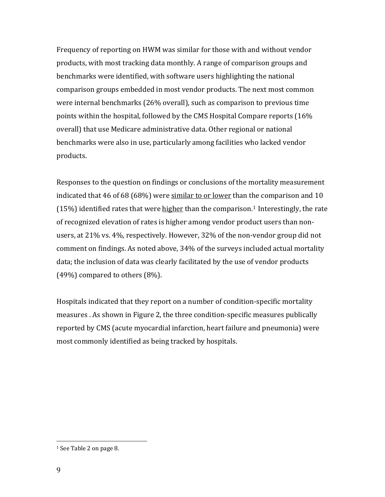Frequency of reporting on HWM was similar for those with and without vendor products, with most tracking data monthly. A range of comparison groups and benchmarks were identified, with software users highlighting the national comparison groups embedded in most vendor products. The next most common were internal benchmarks (26% overall), such as comparison to previous time points within the hospital, followed by the CMS Hospital Compare reports (16% overall) that use Medicare administrative data. Other regional or national benchmarks were also in use, particularly among facilities who lacked vendor products.

<span id="page-10-0"></span>Responses to the question on findings or conclusions of the mortality measurement indicated that 46 of 68 (68%) were similar to or lower than the comparison and 10  $(15%)$  $(15%)$  $(15%)$  identified rates that were higher than the comparison.<sup>1</sup> Interestingly, the rate of recognized elevation of rates is higher among vendor product users than non‐ users, at 21% vs. 4%, respectively. However, 32% of the non‐vendor group did not comment on findings. As noted above, 34% of the surveys included actual mortality data; the inclusion of data was clearly facilitated by the use of vendor products (49%) compared to others (8%).

Hospitals indicated that they report on a number of condition‐specific mortality measures . As shown in Figure 2, the three condition‐specific measures publically reported by CMS (acute myocardial infarction, heart failure and pneumonia) were most commonly identified as being tracked by hospitals.

<sup>1</sup> See Table 2 on page 8.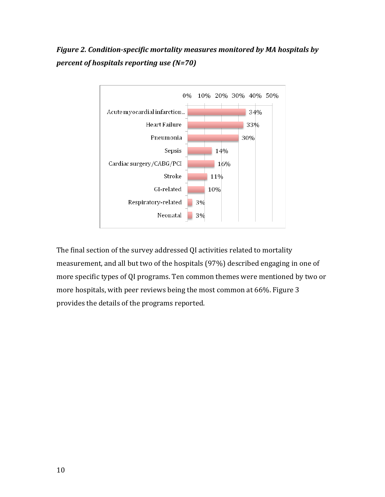*Figure 2. Conditionspecific mortality measures monitored by MA hospitals by percent of hospitals reporting use (N=70)*



The final section of the survey addressed QI activities related to mortality measurement, and all but two of the hospitals (97%) described engaging in one of more specific types of QI programs. Ten common themes were mentioned by two or more hospitals, with peer reviews being the most common at 66%. Figure 3 provides the details of the programs reported.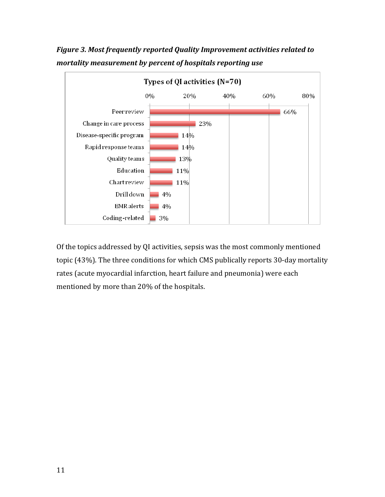

*Figure 3. Most frequently reported Quality Improvement activities related to mortality measurement by percent of hospitals reporting use*

Of the topics addressed by QI activities, sepsis was the most commonly mentioned topic (43%). The three conditions for which CMS publically reports 30‐day mortality rates (acute myocardial infarction, heart failure and pneumonia) were each mentioned by more than 20% of the hospitals.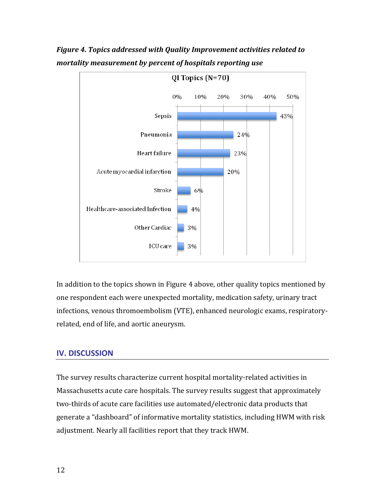

*Figure 4. Topics addressed with Quality Improvement activities related to mortality measurement by percent of hospitals reporting use*

In addition to the topics shown in Figure 4 above, other quality topics mentioned by one respondent each were unexpected mortality, medication safety, urinary tract infections, venous thromoembolism (VTE), enhanced neurologic exams, respiratory‐ related, end of life, and aortic aneurysm.

#### **IV. DISCUSSION**

The survey results characterize current hospital mortality‐related activities in Massachusetts acute care hospitals. The survey results suggest that approximately two-thirds of acute care facilities use automated/electronic data products that generate a "dashboard" of informative mortality statistics, including HWM with risk adjustment. Nearly all facilities report that they track HWM.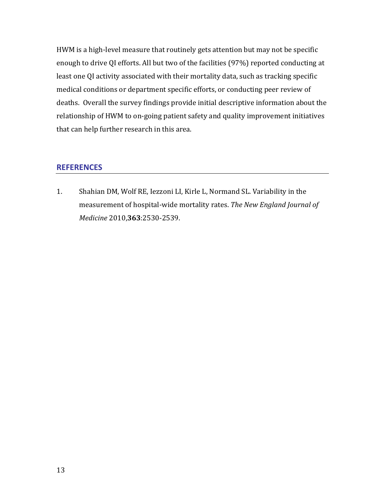HWM is a high-level measure that routinely gets attention but may not be specific enough to drive QI efforts. All but two of the facilities (97%) reported conducting at least one QI activity associated with their mortality data, such as tracking specific medical conditions or department specific efforts, or conducting peer review of deaths. Overall the survey findings provide initial descriptive information about the relationship of HWM to on‐going patient safety and quality improvement initiatives that can help further research in this area.

#### **REFERENCES**

<span id="page-14-0"></span>1. Shahian DM, Wolf RE, Iezzoni LI, Kirle L, Normand SL. Variability in the measurement of hospital‐wide mortality rates. *The New England Journal of Medicine* 2010,**363**:2530‐2539.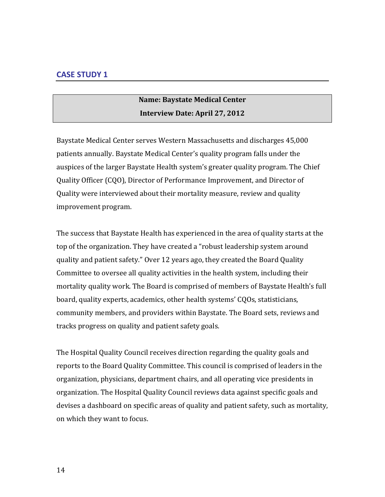## **Name: Baystate Medical Center Interview Date: April 27, 2012**

Baystate Medical Center serves Western Massachusetts and discharges 45,000 patients annually. Baystate Medical Center's quality program falls under the auspices of the larger Baystate Health system's greater quality program. The Chief Quality Officer (CQO), Director of Performance Improvement, and Director of Quality were interviewed about their mortality measure, review and quality improvement program.

The success that Baystate Health has experienced in the area of quality starts at the top of the organization. They have created a "robust leadership system around quality and patient safety." Over 12 years ago, they created the Board Quality Committee to oversee all quality activities in the health system, including their mortality quality work. The Board is comprised of members of Baystate Health's full board, quality experts, academics, other health systems' CQOs, statisticians, community members, and providers within Baystate. The Board sets, reviews and tracks progress on quality and patient safety goals.

The Hospital Quality Council receives direction regarding the quality goals and reports to the Board Quality Committee. This council is comprised of leaders in the organization, physicians, department chairs, and all operating vice presidents in organization. The Hospital Quality Council reviews data against specific goals and devises a dashboard on specific areas of quality and patient safety, such as mortality, on which they want to focus.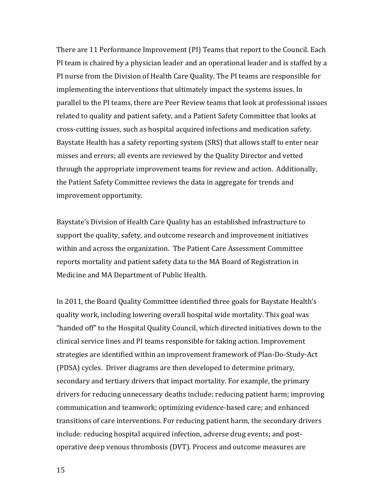There are 11 Performance Improvement (PI) Teams that report to the Council. Each PI team is chaired by a physician leader and an operational leader and is staffed by a PI nurse from the Division of Health Care Quality. The PI teams are responsible for implementing the interventions that ultimately impact the systems issues. In parallel to the PI teams, there are Peer Review teams that look at professional issues related to quality and patient safety, and a Patient Safety Committee that looks at cross‐cutting issues, such as hospital acquired infections and medication safety. Baystate Health has a safety reporting system (SRS) that allows staff to enter near misses and errors; all events are reviewed by the Quality Director and vetted through the appropriate improvement teams for review and action. Additionally, the Patient Safety Committee reviews the data in aggregate for trends and improvement opportunity.

Baystate's Division of Health Care Quality has an established infrastructure to support the quality, safety, and outcome research and improvement initiatives within and across the organization. The Patient Care Assessment Committee reports mortality and patient safety data to the MA Board of Registration in Medicine and MA Department of Public Health.

In 2011, the Board Quality Committee identified three goals for Baystate Health's quality work, including lowering overall hospital wide mortality. This goal was "handed off" to the Hospital Quality Council, which directed initiatives down to the clinical service lines and PI teams responsible for taking action. Improvement strategies are identified within an improvement framework of Plan‐Do‐Study‐Act (PDSA) cycles. Driver diagrams are then developed to determine primary, secondary and tertiary drivers that impact mortality. For example, the primary drivers for reducing unnecessary deaths include: reducing patient harm; improving communication and teamwork; optimizing evidence‐based care; and enhanced transitions of care interventions. For reducing patient harm, the secondary drivers include: reducing hospital acquired infection, adverse drug events; and postoperative deep venous thrombosis (DVT). Process and outcome measures are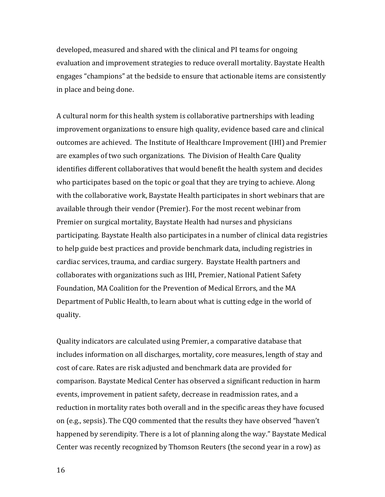developed, measured and shared with the clinical and PI teams for ongoing evaluation and improvement strategies to reduce overall mortality. Baystate Health engages "champions" at the bedside to ensure that actionable items are consistently in place and being done.

A cultural norm for this health system is collaborative partnerships with leading improvement organizations to ensure high quality, evidence based care and clinical outcomes are achieved. The Institute of Healthcare Improvement (IHI) and Premier are examples of two such organizations. The Division of Health Care Quality identifies different collaboratives that would benefit the health system and decides who participates based on the topic or goal that they are trying to achieve. Along with the collaborative work, Baystate Health participates in short webinars that are available through their vendor (Premier). For the most recent webinar from Premier on surgical mortality, Baystate Health had nurses and physicians participating. Baystate Health also participates in a number of clinical data registries to help guide best practices and provide benchmark data, including registries in cardiac services, trauma, and cardiac surgery. Baystate Health partners and collaborates with organizations such as IHI, Premier, National Patient Safety Foundation, MA Coalition for the Prevention of Medical Errors, and the MA Department of Public Health, to learn about what is cutting edge in the world of quality.

Quality indicators are calculated using Premier, a comparative database that includes information on all discharges, mortality, core measures, length of stay and cost of care. Rates are risk adjusted and benchmark data are provided for comparison. Baystate Medical Center has observed a significant reduction in harm events, improvement in patient safety, decrease in readmission rates, and a reduction in mortality rates both overall and in the specific areas they have focused on (e.g., sepsis). The CQO commented that the results they have observed "haven't happened by serendipity. There is a lot of planning along the way." Baystate Medical Center was recently recognized by Thomson Reuters (the second year in a row) as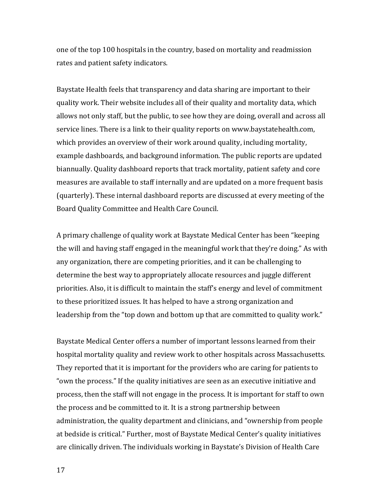one of the top 100 hospitals in the country, based on mortality and readmission rates and patient safety indicators.

Baystate Health feels that transparency and data sharing are important to their quality work. Their website includes all of their quality and mortality data, which allows not only staff, but the public, to see how they are doing, overall and across all service lines. There is a link to their quality reports on www.baystatehealth.com, which provides an overview of their work around quality, including mortality, example dashboards, and background information. The public reports are updated biannually. Quality dashboard reports that track mortality, patient safety and core measures are available to staff internally and are updated on a more frequent basis (quarterly). These internal dashboard reports are discussed at every meeting of the Board Quality Committee and Health Care Council.

A primary challenge of quality work at Baystate Medical Center has been "keeping the will and having staff engaged in the meaningful work that they're doing." As with any organization, there are competing priorities, and it can be challenging to determine the best way to appropriately allocate resources and juggle different priorities. Also, it is difficult to maintain the staff's energy and level of commitment to these prioritized issues. It has helped to have a strong organization and leadership from the "top down and bottom up that are committed to quality work."

Baystate Medical Center offers a number of important lessons learned from their hospital mortality quality and review work to other hospitals across Massachusetts. They reported that it is important for the providers who are caring for patients to "own the process." If the quality initiatives are seen as an executive initiative and process, then the staff will not engage in the process. It is important for staff to own the process and be committed to it. It is a strong partnership between administration, the quality department and clinicians, and "ownership from people at bedside is critical." Further, most of Baystate Medical Center's quality initiatives are clinically driven. The individuals working in Baystate's Division of Health Care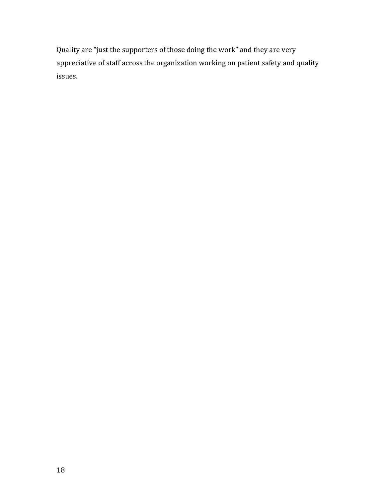Quality are "just the supporters of those doing the work" and they are very appreciative of staff across the organization working on patient safety and quality issues.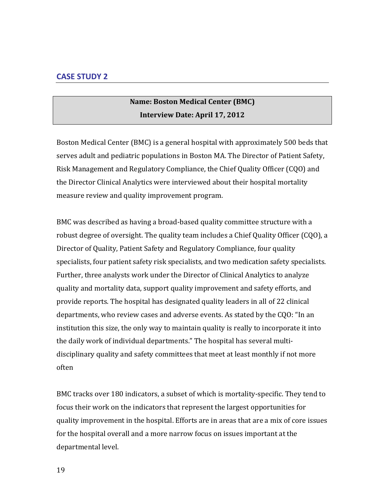## **Name: Boston Medical Center (BMC) Interview Date: April 17, 2012**

Boston Medical Center (BMC) is a general hospital with approximately 500 beds that serves adult and pediatric populations in Boston MA. The Director of Patient Safety, Risk Management and Regulatory Compliance, the Chief Quality Officer (CQO) and the Director Clinical Analytics were interviewed about their hospital mortality measure review and quality improvement program.

BMC was described as having a broad‐based quality committee structure with a robust degree of oversight. The quality team includes a Chief Quality Officer (CQO), a Director of Quality, Patient Safety and Regulatory Compliance, four quality specialists, four patient safety risk specialists, and two medication safety specialists. Further, three analysts work under the Director of Clinical Analytics to analyze quality and mortality data, support quality improvement and safety efforts, and provide reports. The hospital has designated quality leaders in all of 22 clinical departments, who review cases and adverse events. As stated by the CQO: "In an institution this size, the only way to maintain quality is really to incorporate it into the daily work of individual departments." The hospital has several multi‐ disciplinary quality and safety committees that meet at least monthly if not more often

BMC tracks over 180 indicators, a subset of which is mortality‐specific. They tend to focus their work on the indicators that represent the largest opportunities for quality improvement in the hospital. Efforts are in areas that are a mix of core issues for the hospital overall and a more narrow focus on issues important at the departmental level.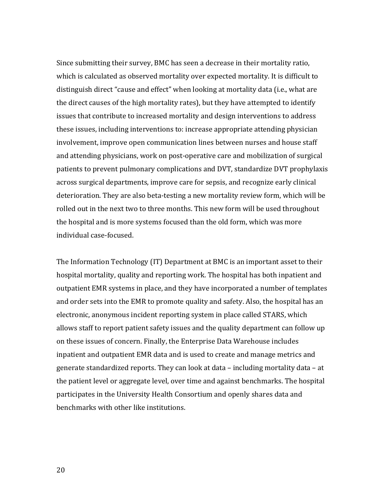Since submitting their survey, BMC has seen a decrease in their mortality ratio, which is calculated as observed mortality over expected mortality. It is difficult to distinguish direct "cause and effect" when looking at mortality data (i.e., what are the direct causes of the high mortality rates), but they have attempted to identify issues that contribute to increased mortality and design interventions to address these issues, including interventions to: increase appropriate attending physician involvement, improve open communication lines between nurses and house staff and attending physicians, work on post‐operative care and mobilization of surgical patients to prevent pulmonary complications and DVT, standardize DVT prophylaxis across surgical departments, improve care for sepsis, and recognize early clinical deterioration. They are also beta‐testing a new mortality review form, which will be rolled out in the next two to three months. This new form will be used throughout the hospital and is more systems focused than the old form, which was more individual case‐focused.

The Information Technology (IT) Department at BMC is an important asset to their hospital mortality, quality and reporting work. The hospital has both inpatient and outpatient EMR systems in place, and they have incorporated a number of templates and order sets into the EMR to promote quality and safety. Also, the hospital has an electronic, anonymous incident reporting system in place called STARS, which allows staff to report patient safety issues and the quality department can follow up on these issues of concern. Finally, the Enterprise Data Warehouse includes inpatient and outpatient EMR data and is used to create and manage metrics and generate standardized reports. They can look at data – including mortality data – at the patient level or aggregate level, over time and against benchmarks. The hospital participates in the University Health Consortium and openly shares data and benchmarks with other like institutions.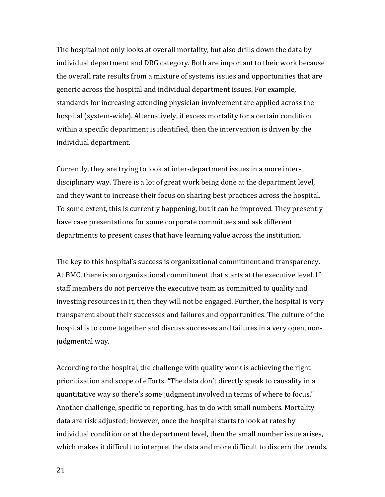The hospital not only looks at overall mortality, but also drills down the data by individual department and DRG category. Both are important to their work because the overall rate results from a mixture of systems issues and opportunities that are generic across the hospital and individual department issues. For example, standards for increasing attending physician involvement are applied across the hospital (system‐wide). Alternatively, if excess mortality for a certain condition within a specific department is identified, then the intervention is driven by the individual department.

Currently, they are trying to look at inter‐department issues in a more inter‐ disciplinary way. There is a lot of great work being done at the department level, and they want to increase their focus on sharing best practices across the hospital. To some extent, this is currently happening, but it can be improved. They presently have case presentations for some corporate committees and ask different departments to present cases that have learning value across the institution.

The key to this hospital's success is organizational commitment and transparency. At BMC, there is an organizational commitment that starts at the executive level. If staff members do not perceive the executive team as committed to quality and investing resources in it, then they will not be engaged. Further, the hospital is very transparent about their successes and failures and opportunities. The culture of the hospital is to come together and discuss successes and failures in a very open, non‐ judgmental way.

According to the hospital, the challenge with quality work is achieving the right prioritization and scope of efforts. "The data don't directly speak to causality in a quantitative way so there's some judgment involved in terms of where to focus." Another challenge, specific to reporting, has to do with small numbers. Mortality data are risk adjusted; however, once the hospital starts to look at rates by individual condition or at the department level, then the small number issue arises, which makes it difficult to interpret the data and more difficult to discern the trends.

21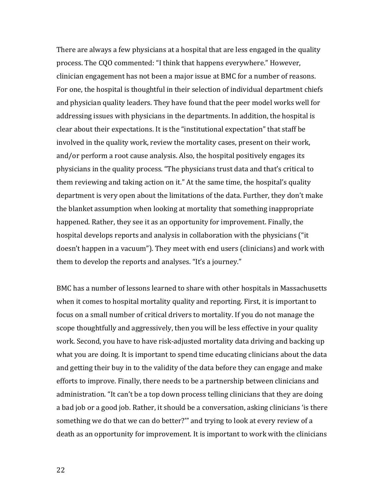There are always a few physicians at a hospital that are less engaged in the quality process. The CQO commented: "I think that happens everywhere." However, clinician engagement has not been a major issue at BMC for a number of reasons. For one, the hospital is thoughtful in their selection of individual department chiefs and physician quality leaders. They have found that the peer model works well for addressing issues with physicians in the departments. In addition, the hospital is clear about their expectations. It is the "institutional expectation" that staff be involved in the quality work, review the mortality cases, present on their work, and/or perform a root cause analysis. Also, the hospital positively engages its physicians in the quality process. "The physicians trust data and that's critical to them reviewing and taking action on it." At the same time, the hospital's quality department is very open about the limitations of the data. Further, they don't make the blanket assumption when looking at mortality that something inappropriate happened. Rather, they see it as an opportunity for improvement. Finally, the hospital develops reports and analysis in collaboration with the physicians ("it doesn't happen in a vacuum"). They meet with end users (clinicians) and work with them to develop the reports and analyses. "It's a journey."

BMC has a number of lessons learned to share with other hospitals in Massachusetts when it comes to hospital mortality quality and reporting. First, it is important to focus on a small number of critical drivers to mortality. If you do not manage the scope thoughtfully and aggressively, then you will be less effective in your quality work. Second, you have to have risk‐adjusted mortality data driving and backing up what you are doing. It is important to spend time educating clinicians about the data and getting their buy in to the validity of the data before they can engage and make efforts to improve. Finally, there needs to be a partnership between clinicians and administration. "It can't be a top down process telling clinicians that they are doing a bad job or a good job. Rather, it should be a conversation, asking clinicians 'is there something we do that we can do better?'" and trying to look at every review of a death as an opportunity for improvement. It is important to work with the clinicians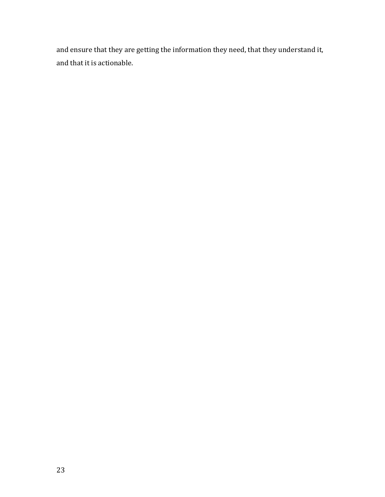and ensure that they are getting the information they need, that they understand it, and that it is actionable.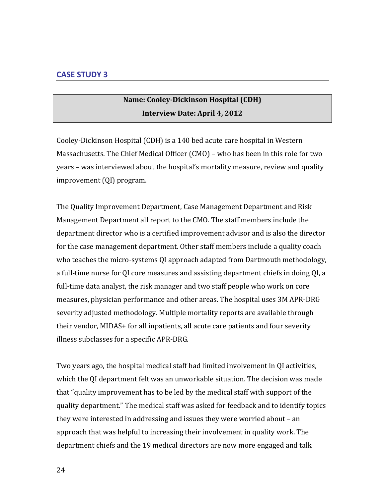## **Name: CooleyDickinson Hospital (CDH) Interview Date: April 4, 2012**

Cooley‐Dickinson Hospital (CDH) is a 140 bed acute care hospital in Western Massachusetts. The Chief Medical Officer (CMO) – who has been in this role for two years – was interviewed about the hospital's mortality measure, review and quality improvement (QI) program.

The Quality Improvement Department, Case Management Department and Risk Management Department all report to the CMO. The staff members include the department director who is a certified improvement advisor and is also the director for the case management department. Other staff members include a quality coach who teaches the micro-systems QI approach adapted from Dartmouth methodology, a full‐time nurse for QI core measures and assisting department chiefs in doing QI, a full-time data analyst, the risk manager and two staff people who work on core measures, physician performance and other areas. The hospital uses 3M APR‐DRG severity adjusted methodology. Multiple mortality reports are available through their vendor, MIDAS+ for all inpatients, all acute care patients and four severity illness subclasses for a specific APR‐DRG.

Two years ago, the hospital medical staff had limited involvement in QI activities, which the QI department felt was an unworkable situation. The decision was made that "quality improvement has to be led by the medical staff with support of the quality department." The medical staff was asked for feedback and to identify topics they were interested in addressing and issues they were worried about – an approach that was helpful to increasing their involvement in quality work. The department chiefs and the 19 medical directors are now more engaged and talk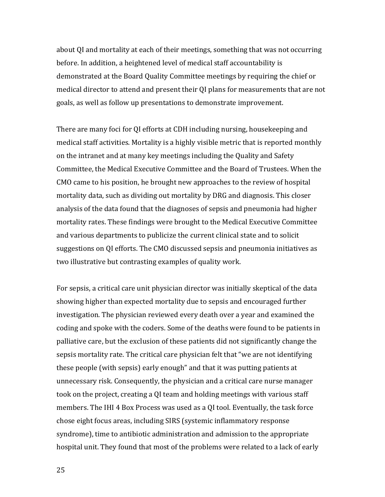about QI and mortality at each of their meetings, something that was not occurring before. In addition, a heightened level of medical staff accountability is demonstrated at the Board Quality Committee meetings by requiring the chief or medical director to attend and present their QI plans for measurements that are not goals, as well as follow up presentations to demonstrate improvement.

There are many foci for QI efforts at CDH including nursing, housekeeping and medical staff activities. Mortality is a highly visible metric that is reported monthly on the intranet and at many key meetings including the Quality and Safety Committee, the Medical Executive Committee and the Board of Trustees. When the CMO came to his position, he brought new approaches to the review of hospital mortality data, such as dividing out mortality by DRG and diagnosis. This closer analysis of the data found that the diagnoses of sepsis and pneumonia had higher mortality rates. These findings were brought to the Medical Executive Committee and various departments to publicize the current clinical state and to solicit suggestions on QI efforts. The CMO discussed sepsis and pneumonia initiatives as two illustrative but contrasting examples of quality work.

For sepsis, a critical care unit physician director was initially skeptical of the data showing higher than expected mortality due to sepsis and encouraged further investigation. The physician reviewed every death over a year and examined the coding and spoke with the coders. Some of the deaths were found to be patients in palliative care, but the exclusion of these patients did not significantly change the sepsis mortality rate. The critical care physician felt that "we are not identifying these people (with sepsis) early enough" and that it was putting patients at unnecessary risk. Consequently, the physician and a critical care nurse manager took on the project, creating a QI team and holding meetings with various staff members. The IHI 4 Box Process was used as a QI tool. Eventually, the task force chose eight focus areas, including SIRS (systemic inflammatory response syndrome), time to antibiotic administration and admission to the appropriate hospital unit. They found that most of the problems were related to a lack of early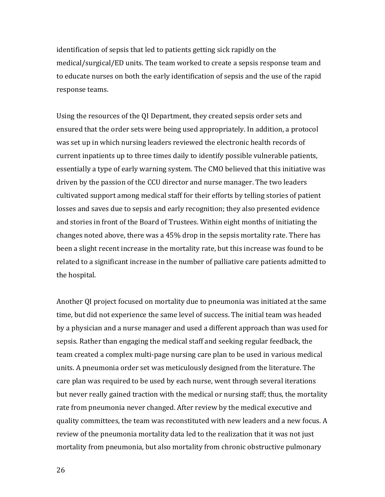identification of sepsis that led to patients getting sick rapidly on the medical/surgical/ED units. The team worked to create a sepsis response team and to educate nurses on both the early identification of sepsis and the use of the rapid response teams.

Using the resources of the QI Department, they created sepsis order sets and ensured that the order sets were being used appropriately. In addition, a protocol was set up in which nursing leaders reviewed the electronic health records of current inpatients up to three times daily to identify possible vulnerable patients, essentially a type of early warning system. The CMO believed that this initiative was driven by the passion of the CCU director and nurse manager. The two leaders cultivated support among medical staff for their efforts by telling stories of patient losses and saves due to sepsis and early recognition; they also presented evidence and stories in front of the Board of Trustees. Within eight months of initiating the changes noted above, there was a 45% drop in the sepsis mortality rate. There has been a slight recent increase in the mortality rate, but this increase was found to be related to a significant increase in the number of palliative care patients admitted to the hospital.

Another QI project focused on mortality due to pneumonia was initiated at the same time, but did not experience the same level of success. The initial team was headed by a physician and a nurse manager and used a different approach than was used for sepsis. Rather than engaging the medical staff and seeking regular feedback, the team created a complex multi‐page nursing care plan to be used in various medical units. A pneumonia order set was meticulously designed from the literature. The care plan was required to be used by each nurse, went through several iterations but never really gained traction with the medical or nursing staff; thus, the mortality rate from pneumonia never changed. After review by the medical executive and quality committees, the team was reconstituted with new leaders and a new focus. A review of the pneumonia mortality data led to the realization that it was not just mortality from pneumonia, but also mortality from chronic obstructive pulmonary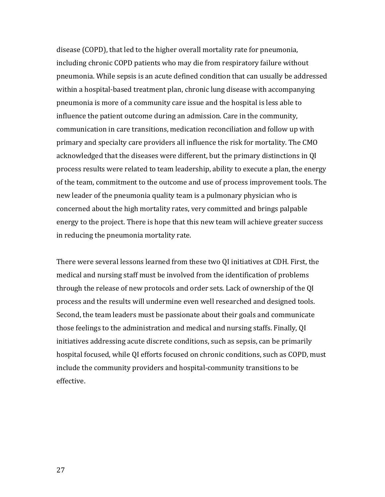disease (COPD), that led to the higher overall mortality rate for pneumonia, including chronic COPD patients who may die from respiratory failure without pneumonia. While sepsis is an acute defined condition that can usually be addressed within a hospital-based treatment plan, chronic lung disease with accompanying pneumonia is more of a community care issue and the hospital is less able to influence the patient outcome during an admission. Care in the community, communication in care transitions, medication reconciliation and follow up with primary and specialty care providers all influence the risk for mortality. The CMO acknowledged that the diseases were different, but the primary distinctions in QI process results were related to team leadership, ability to execute a plan, the energy of the team, commitment to the outcome and use of process improvement tools. The new leader of the pneumonia quality team is a pulmonary physician who is concerned about the high mortality rates, very committed and brings palpable energy to the project. There is hope that this new team will achieve greater success in reducing the pneumonia mortality rate.

There were several lessons learned from these two QI initiatives at CDH. First, the medical and nursing staff must be involved from the identification of problems through the release of new protocols and order sets. Lack of ownership of the QI process and the results will undermine even well researched and designed tools. Second, the team leaders must be passionate about their goals and communicate those feelings to the administration and medical and nursing staffs. Finally, QI initiatives addressing acute discrete conditions, such as sepsis, can be primarily hospital focused, while QI efforts focused on chronic conditions, such as COPD, must include the community providers and hospital‐community transitions to be effective.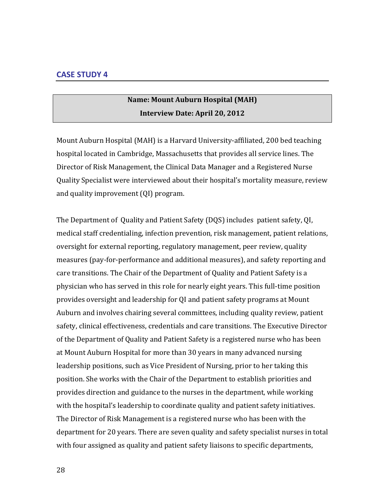## **Name: Mount Auburn Hospital (MAH) Interview Date: April 20, 2012**

Mount Auburn Hospital (MAH) is a Harvard University‐affiliated, 200 bed teaching hospital located in Cambridge, Massachusetts that provides all service lines. The Director of Risk Management, the Clinical Data Manager and a Registered Nurse Quality Specialist were interviewed about their hospital's mortality measure, review and quality improvement (QI) program.

The Department of Quality and Patient Safety (DQS) includes patient safety, QI, medical staff credentialing, infection prevention, risk management, patient relations, oversight for external reporting, regulatory management, peer review, quality measures (pay‐for‐performance and additional measures), and safety reporting and care transitions. The Chair of the Department of Quality and Patient Safety is a physician who has served in this role for nearly eight years. This full‐time position provides oversight and leadership for QI and patient safety programs at Mount Auburn and involves chairing several committees, including quality review, patient safety, clinical effectiveness, credentials and care transitions. The Executive Director of the Department of Quality and Patient Safety is a registered nurse who has been at Mount Auburn Hospital for more than 30 years in many advanced nursing leadership positions, such as Vice President of Nursing, prior to her taking this position. She works with the Chair of the Department to establish priorities and provides direction and guidance to the nurses in the department, while working with the hospital's leadership to coordinate quality and patient safety initiatives. The Director of Risk Management is a registered nurse who has been with the department for 20 years. There are seven quality and safety specialist nurses in total with four assigned as quality and patient safety liaisons to specific departments,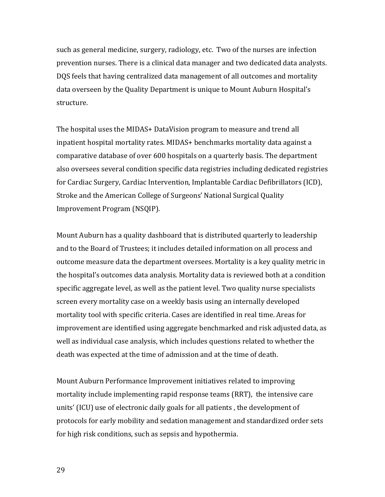such as general medicine, surgery, radiology, etc. Two of the nurses are infection prevention nurses. There is a clinical data manager and two dedicated data analysts. DQS feels that having centralized data management of all outcomes and mortality data overseen by the Quality Department is unique to Mount Auburn Hospital's structure.

The hospital uses the MIDAS+ DataVision program to measure and trend all inpatient hospital mortality rates. MIDAS+ benchmarks mortality data against a comparative database of over 600 hospitals on a quarterly basis. The department also oversees several condition specific data registries including dedicated registries for Cardiac Surgery, Cardiac Intervention, Implantable Cardiac Defibrillators (ICD), Stroke and the American College of Surgeons' National Surgical Quality Improvement Program (NSQIP).

Mount Auburn has a quality dashboard that is distributed quarterly to leadership and to the Board of Trustees; it includes detailed information on all process and outcome measure data the department oversees. Mortality is a key quality metric in the hospital's outcomes data analysis. Mortality data is reviewed both at a condition specific aggregate level, as well as the patient level. Two quality nurse specialists screen every mortality case on a weekly basis using an internally developed mortality tool with specific criteria. Cases are identified in real time. Areas for improvement are identified using aggregate benchmarked and risk adjusted data, as well as individual case analysis, which includes questions related to whether the death was expected at the time of admission and at the time of death.

Mount Auburn Performance Improvement initiatives related to improving mortality include implementing rapid response teams (RRT), the intensive care units' (ICU) use of electronic daily goals for all patients , the development of protocols for early mobility and sedation management and standardized order sets for high risk conditions, such as sepsis and hypothermia.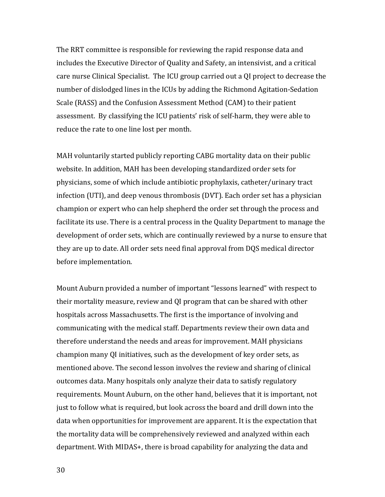The RRT committee is responsible for reviewing the rapid response data and includes the Executive Director of Quality and Safety, an intensivist, and a critical care nurse Clinical Specialist. The ICU group carried out a QI project to decrease the number of dislodged lines in the ICUs by adding the Richmond Agitation‐Sedation Scale (RASS) and the Confusion Assessment Method (CAM) to their patient assessment. By classifying the ICU patients' risk of self‐harm, they were able to reduce the rate to one line lost per month.

MAH voluntarily started publicly reporting CABG mortality data on their public website. In addition, MAH has been developing standardized order sets for physicians, some of which include antibiotic prophylaxis, catheter/urinary tract infection (UTI), and deep venous thrombosis (DVT). Each order set has a physician champion or expert who can help shepherd the order set through the process and facilitate its use. There is a central process in the Quality Department to manage the development of order sets, which are continually reviewed by a nurse to ensure that they are up to date. All order sets need final approval from DQS medical director before implementation.

Mount Auburn provided a number of important "lessons learned" with respect to their mortality measure, review and QI program that can be shared with other hospitals across Massachusetts. The first is the importance of involving and communicating with the medical staff. Departments review their own data and therefore understand the needs and areas for improvement. MAH physicians champion many QI initiatives, such as the development of key order sets, as mentioned above. The second lesson involves the review and sharing of clinical outcomes data. Many hospitals only analyze their data to satisfy regulatory requirements. Mount Auburn, on the other hand, believes that it is important, not just to follow what is required, but look across the board and drill down into the data when opportunities for improvement are apparent. It is the expectation that the mortality data will be comprehensively reviewed and analyzed within each department. With MIDAS+, there is broad capability for analyzing the data and